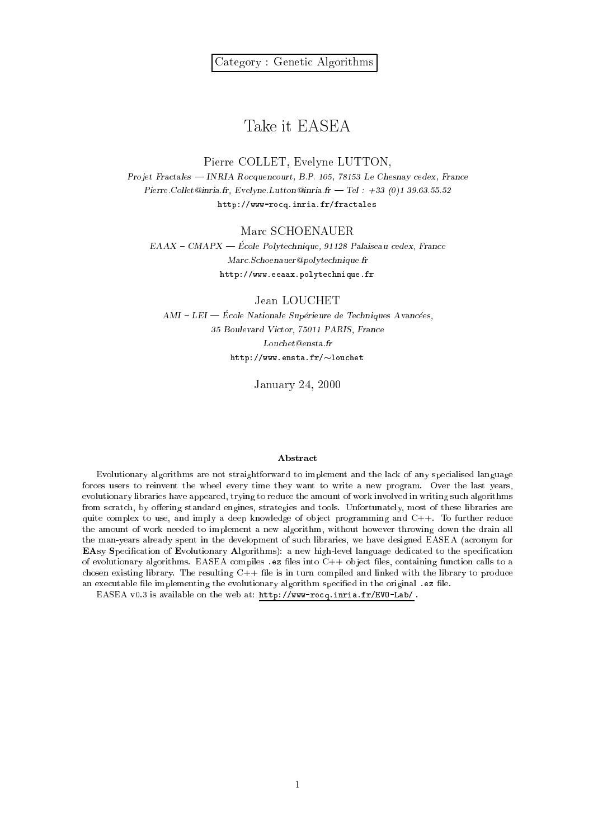# Take it EASEA

### Pierre COLLET, Evelyne LUTTON,

Projet Fractales — INRIA Rocquencourt, B.P. 105, 78153 Le Chesnay cedex, France Pierre.Collet@inria.fr, Evelyne.Lutton@inria.fr - Tel : +33 (0)1 39.63.55.52 http://www-rocq.inria.fr/fractales

### Marc SCHOENAUER

 $EAAX - CMAPX - École Polytechnique, 91128 Palaiseau cedex, France$ Marc.Schoenauer@polytechnique.fr http://www.eeaax.polytechnique.fr

Jean LOUCHET

 $AMI - LEI - École Nationale Supérieure de Techniques Avancées,$ 35 Boulevard Victor, 75011 PARIS, France Louchet@ensta.fr  $http://www.ensta.fr/~louchet$ 

January 24, 2000

### Abstract

Evolutionary algorithms are not straightforward to implement and the lack of any specialised language forces users to reinvent the wheel every time they want to write a new program. Over the last years, evolutionary libraries have appeared, trying to reduce the amount of work involved in writing such algorithms from scratch, by offering standard engines, strategies and tools. Unfortunately, most of these libraries are quite complex to use, and imply a deep knowledge of object programming and  $C++$ . To further reduce the amount of work needed to implement a new algorithm, without however throwing down the drain all the man-years already spent in the development of such libraries, we have designed EASEA (acronym for EAsy Specification of Evolutionary Algorithms): a new high-level language dedicated to the specification of evolutionary algorithms. EASEA compiles .ez files into C++ object files, containing function calls to a chosen existing library. The resulting  $C++$  file is in turn compiled and linked with the library to produce an executable file implementing the evolutionary algorithm specified in the original .ez file.

EASEA v0.3 is available on the web at: http://www-rocq.inria.fr/EVO-Lab/ .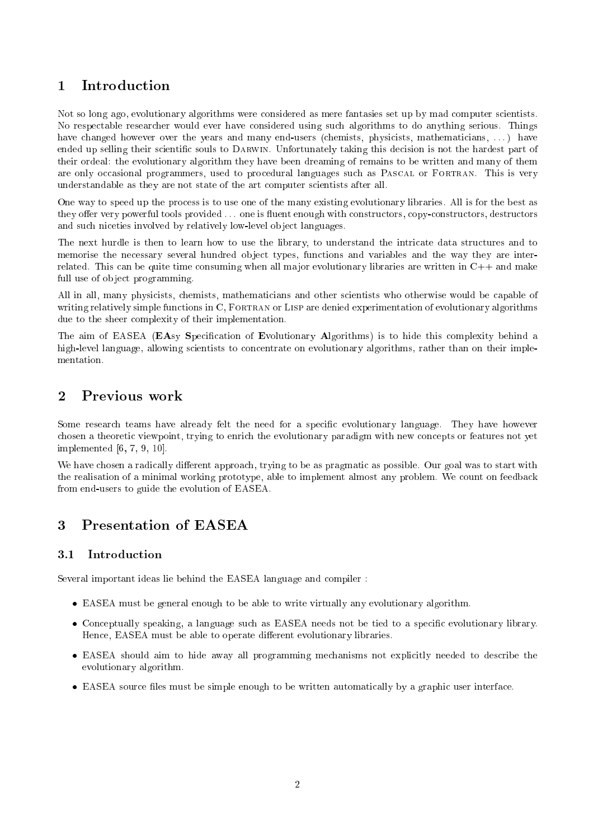# 1 Introduction

Not so long ago, evolutionary algorithms were considered as mere fantasies set up by mad computer scientists. No respectable researcher would ever have considered using such algorithms to do anything serious. Things have changed however over the years and many end-users (chemists, physicists, mathematicians, ...) have ended up selling their scientic souls to Darwin. Unfortunately taking this decision is not the hardest part of their ordeal: the evolutionary algorithm they have been dreaming of remains to be written and many of them are only occasional programmers, used to procedural languages such as Pascal or Fortran. This is very understandable as they are not state of the art computer scientists after all.

One way to speed up the process is to use one of the many existing evolutionary libraries. All is for the best as they offer very powerful tools provided ... one is fluent enough with constructors, copy-constructors, destructors and such niceties involved by relatively low-level ob ject languages.

The next hurdle is then to learn how to use the library, to understand the intricate data structures and to memorise the necessary several hundred object types, functions and variables and the way they are interrelated. This can be quite time consuming when all major evolutionary libraries are written in  $C++$  and make full use of object programming.

All in all, many physicists, chemists, mathematicians and other scientists who otherwise would be capable of writing relatively simple functions in C, FORTRAN or LISP are denied experimentation of evolutionary algorithms due to the sheer complexity of their implementation.

The aim of EASEA (EAsy Specification of Evolutionary Algorithms) is to hide this complexity behind a high-level language, allowing scientists to concentrate on evolutionary algorithms, rather than on their implementation.

# 2 Previous work

Some research teams have already felt the need for a specific evolutionary language. They have however chosen a theoretic viewpoint, trying to enrich the evolutionary paradigm with new concepts or features not yet implemented [6, 7, 9, 10].

We have chosen a radically different approach, trying to be as pragmatic as possible. Our goal was to start with the realisation of a minimal working prototype, able to implement almost any problem. We count on feedback from end-users to guide the evolution of EASEA.

# 3 Presentation of EASEA

#### $3.1$ Introduction

Several important ideas lie behind the EASEA language and compiler :

- EASEA must be general enough to be able to write virtually any evolutionary algorithm.
- Conceptually speaking, a language such as EASEA needs not be tied to a specic evolutionary library. Hence, EASEA must be able to operate different evolutionary libraries.
- EASEA should aim to hide away all programming mechanisms not explicitly needed to describe the evolutionary algorithm.
- EASEA source les must be simple enough to be written automatically by a graphic user interface.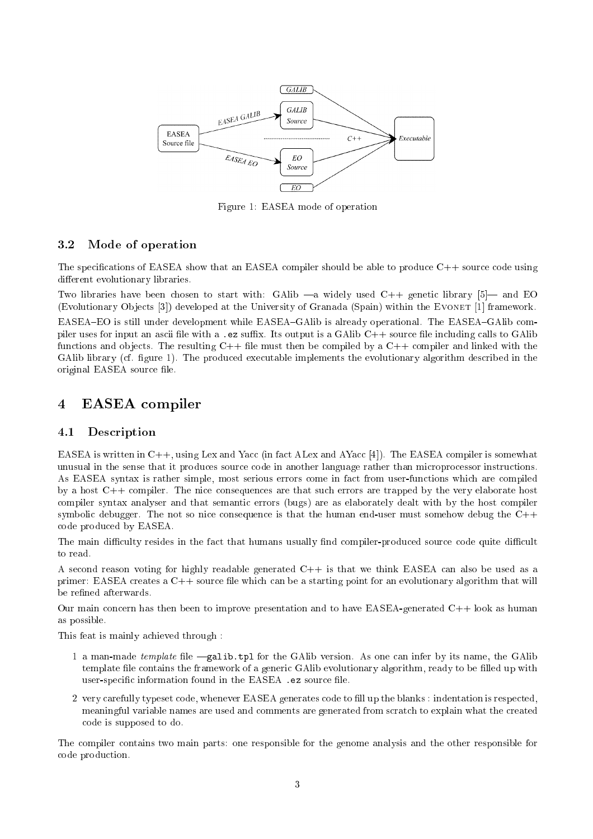

Figure 1: EASEA mode of operation

#### 3.2Mode of operation

The specications of EASEA show that an EASEA compiler should be able to produce C++ source code using different evolutionary libraries.

Two libraries have been chosen to start with: GAlib  $-a$  widely used  $C++$  genetic library [5] and EO (Evolutionary Objects [3]) developed at the University of Granada (Spain) within the EVONET [1] framework. EASEA–EO is still under development while EASEA–GAlib is already operational. The EASEA–GAlib compiler uses for input an ascii file with a .ez suffix. Its output is a GAlib  $C_{++}$  source file including calls to GAlib functions and objects. The resulting  $C++$  file must then be compiled by a  $C++$  compiler and linked with the GAlib library (cf. figure 1). The produced executable implements the evolutionary algorithm described in the original EASEA source file.

## 4 EASEA compiler

#### 4.1Description

EASEA is written in C++, using Lex and Yacc (in fact ALex and AYacc [4]). The EASEA compiler is somewhat unusual in the sense that it produces source code in another language rather than microprocessor instructions. As EASEA syntax is rather simple, most serious errors come in fact from user-functions which are compiled by a host C++ compiler. The nice consequences are that such errors are trapped by the very elaborate host compiler syntax analyser and that semantic errors (bugs) are as elaborately dealt with by the host compiler symbolic debugger. The not so nice consequence is that the human end-user must somehow debug the C++ code produced by EASEA.

The main difficulty resides in the fact that humans usually find compiler-produced source code quite difficult to read.

A second reason voting for highly readable generated  $C++$  is that we think EASEA can also be used as a primer: EASEA creates a C++ source le which can be a starting point for an evolutionary algorithm that will be refined afterwards.

Our main concern has then been to improve presentation and to have EASEA-generated C++ look as human as possible.

This feat is mainly achieved through :

- 1 a man-made *template* file  $-galib.tpl$  for the GAlib version. As one can infer by its name, the GAlib template file contains the framework of a generic GAlib evolutionary algorithm, ready to be filled up with user-specific information found in the EASEA .ez source file.
- 2 very carefully typeset code, whenever EASEA generates code to ll up the blanks : indentation is respected, meaningful variable names are used and comments are generated from scratch to explain what the created code is supposed to do.

The compiler contains two main parts: one responsible for the genome analysis and the other responsible for code production.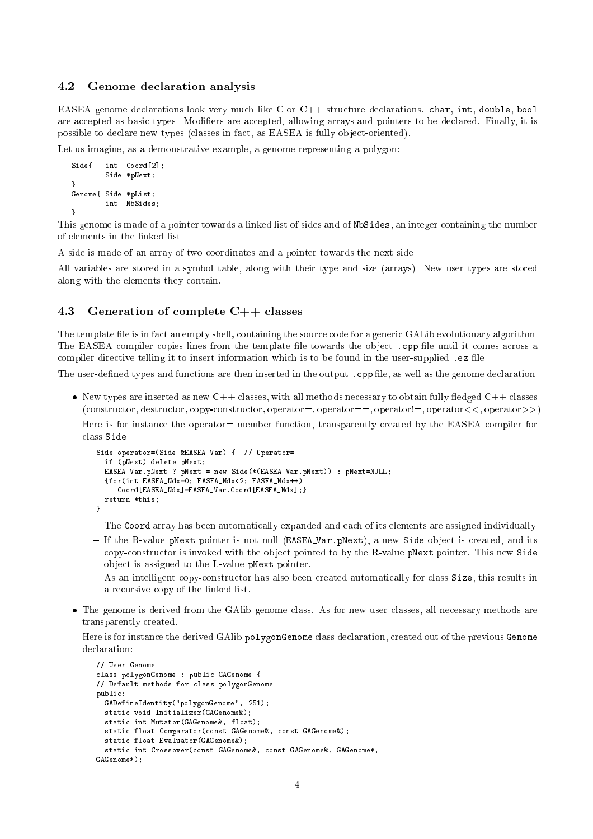#### 4.2Genome declaration analysis

EASEA genome declarations look very much like C or C++ structure declarations. char, int, double, bool are accepted as basic types. Modifiers are accepted, allowing arrays and pointers to be declared. Finally, it is possible to declare new types (classes in fact, as EASEA is fully ob ject-oriented).

Let us imagine, as a demonstrative example, a genome representing a polygon:

```
Side{ int Coord[2];
        Side *pNext;
\mathbf{r}}
Genome{ Side *pList;
         int NbSides;
}
```
This genome is made of a pointer towards a linked list of sides and of NbSides, an integer containing the number of elements in the linked list.

A side is made of an array of two coordinates and a pointer towards the next side.

All variables are stored in a symbol table, along with their type and size (arrays). New user types are stored along with the elements they contain.

#### 4.3Generation of complete C++ classes

The template file is in fact an empty shell, containing the source code for a generic GALib evolutionary algorithm. The EASEA compiler copies lines from the template file towards the object . cpp file until it comes across a compiler directive telling it to insert information which is to be found in the user-supplied . ez file.

The user-defined types and functions are then inserted in the output . cpp file, as well as the genome declaration:

• New types are inserted as new  $C++$  classes, with all methods necessary to obtain fully fledged  $C++$  classes  $(constructor, destructor, copy-constructor, operator=), operator==, operator!=, operator!=, operator<<, operator>>).$ 

Here is for instance the operator= member function, transparently created by the EASEA compiler for class Side:

```
Side operator=(Side &EASEA_Var) { // Operator=
  if (pNext) delete pNext;
  EASEA_Var.pNext ? pNext = new Side(*(EASEA_Var.pNext)) : pNext=NULL;
  {for(int EASEA_Ndx=0; EASEA_Ndx<2; EASEA_Ndx++)
     Coord[EASEA_Ndx]=EASEA_Var.Coord[EASEA_Ndx];}
  return *this:
  return *this;
}
```
- ${\bf -}$  1 ne coord array has been automatically expanded and each of its elements are assigned individually.
- ${\scriptstyle\top}$  if the R-value pNext pointer is not null (EASEA var.pNext), a new Side object is created, and its copy-constructor is invoked with the ob ject pointed to by the R-value pNext pointer. This new Side ob ject is assigned to the L-value pNext pointer.

As an intelligent copy-constructor has also been created automatically for class Size, this results in a recursive copy of the linked list.

 The genome is derived from the GAlib genome class. As for new user classes, all necessary methods are transparently created.

Here is for instance the derived GAlib polygonGenome class declaration, created out of the previous Genome declaration:

```
// User Genome
class polygonGenome : public GAGenome {
// Default methods for class polygonGenome
public:
  GADefineIdentity("polygonGenome", 251);
  static void Initializer(GAGenome&);
  static int Mutator(GAGenome&, float);
  static float Comparator(const GAGenome&, const GAGenome&);
  static float Evaluator(GAGenome&);
  static int Crossover(const GAGenome&, const GAGenome&, GAGenome*,
GAGenome*):
\overline{\phantom{a}}
```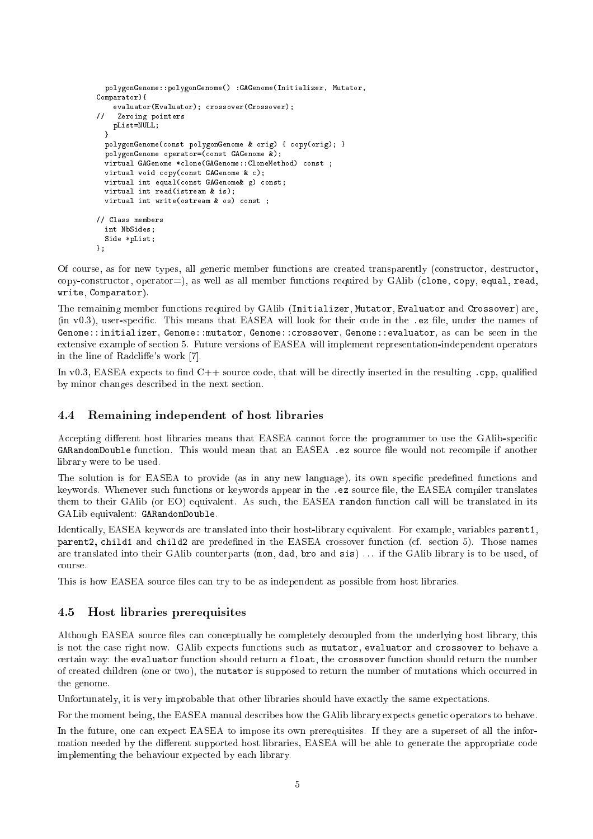```
polygonGenome::polygonGenome() :GAGenome(Initializer, Mutator,
Comparator){
    evaluator(Evaluator); crossover(Crossover);
\primeZeroing pointers
    pList=NULL;
  \mathbf{r}}
  polygonGenome(const polygonGenome & orig) { copy(orig); }
  polygonGenome operator=(const GAGenome &);
  virtual GAGenome *clone(GAGenome::CloneMethod) const ;
  virtual void copy(const GAGenome & c);
  virtual int equal(const GAGenome& g) const;
  virtual int read(istream & is);
  virtual int write(ostream & os) const ;
// Class members
  int NbSides:
  int NbSides;
  Side *pList;
};
```
Of course, as for new types, all generic member functions are created transparently (constructor, destructor,  $copy-constructor, operator=$ ), as well as all member functions required by GAlib (clone, copy, equal, read, write, Comparator).

The remaining member functions required by GAlib (Initializer, Mutator, Evaluator and Crossover) are,  $(in v0.3)$ , user-specific. This means that EASEA will look for their code in the .ez file, under the names of Genome::initializer, Genome::mutator, Genome::crossover, Genome::evaluator, as can be seen in the extensive example of section 5. Future versions of EASEA will implement representation-independent operators in the line of Radcliffe's work [7].

In v0.3, EASEA expects to find  $C++$  source code, that will be directly inserted in the resulting . cpp, qualified by minor changes described in the next section.

#### 4.4Remaining independent of host libraries

Accepting different host libraries means that EASEA cannot force the programmer to use the GAlib-specific GARandomDouble function. This would mean that an EASEA .ez source le would not recompile if another library were to be used.

The solution is for EASEA to provide (as in any new language), its own specific predefined functions and keywords. Whenever such functions or keywords appear in the .ez source file, the EASEA compiler translates them to their GAlib (or EO) equivalent. As such, the EASEA random function call will be translated in its GALib equivalent: GARandomDouble.

Identically, EASEA keywords are translated into their host-library equivalent. For example, variables parent1, parent2, child1 and child2 are predefined in the EASEA crossover function (cf. section 5). Those names are translated into their GAlib counterparts (mom, dad, bro and sis) . . . if the GAlib library is to be used, of course.

This is how EASEA source files can try to be as independent as possible from host libraries.

#### 4.5Host libraries prerequisites

Although EASEA source files can conceptually be completely decoupled from the underlying host library, this is not the case right now. GAlib expects functions such as mutator, evaluator and crossover to behave a certain way: the evaluator function should return a float, the crossover function should return the number of created children (one or two), the mutator is supposed to return the number of mutations which occurred in the genome.

Unfortunately, it is very improbable that other libraries should have exactly the same expectations.

For the moment being, the EASEA manual describes how the GAlib library expects genetic operators to behave.

In the future, one can expect EASEA to impose its own prerequisites. If they are a superset of all the information needed by the different supported host libraries, EASEA will be able to generate the appropriate code implementing the behaviour expected by each library.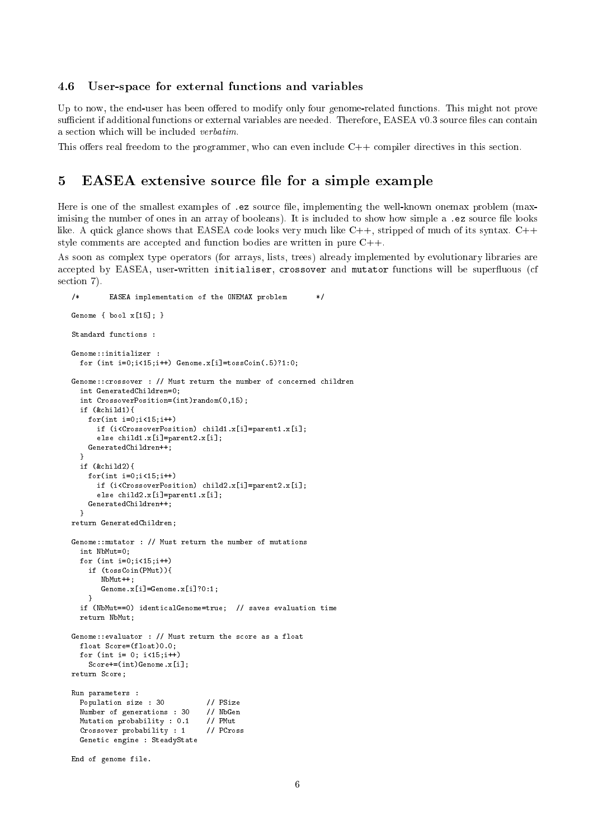#### 4.6User-space for external functions and variables

Up to now, the end-user has been offered to modify only four genome-related functions. This might not prove sufficient if additional functions or external variables are needed. Therefore, EASEA v0.3 source files can contain a section which will be included verbatim.

This offers real freedom to the programmer, who can even include  $C++$  compiler directives in this section.

### 5 EASEA extensive source file for a simple example

Here is one of the smallest examples of .ez source file, implementing the well-known onemax problem (maximising the number of ones in an array of booleans). It is included to show how simple a .ez source file looks like. A quick glance shows that EASEA code looks very much like  $C_{++}$ , stripped of much of its syntax.  $C_{++}$ style comments are accepted and function bodies are written in pure C++.

As soon as complex type operators (for arrays, lists, trees) already implemented by evolutionary libraries are accepted by EASEA, user-written initialiser, crossover and mutator functions will be superfluous (cf section 7).

```
/* EASEA implementation of the ONEMAX problem */
Genome { bool x[15]; }
Standard functions :
Genome::initializer :
  for (int i=0; i<15; i++) Genome.x[i]=tossCoin(.5)?1:0;
Genome::crossover : // Must return the number of concerned children
  int GeneratedChildren=0;
  int CrossoverPosition=(int)random(0,15);
  if (&child1){
    for(int i=0; i<15; i++)if (i<CrossoverPosition) child1.x[i]=parent1.x[i];
      else child1.x[i]=parent2.x[i];
    GeneratedChildren++;
  \mathbf{a}}
  if (&child2){
    for(int i=0:i<15:i++)if (i<CrossoverPosition) child2.x[i]=parent2.x[i];
      else child2.x[i]=parent1.x[i];
    GeneratedChildren++;
  \mathbf{L}.
return GeneratedChildren;
Genome::mutator : // Must return the number of mutations
  int NbMut=0:
  int NbMut=0;
  for (int i=0; i<15; i++)if (tossCoin(PMut)){
       NbMut++:
       \sim \sim \sim \simGenome.x[i]=Genome.x[i]?0:1;
    P,
  if (NbMut==0) identicalGenome=true; // saves evaluation time
    -
  return NbMut;
Genome::evaluator : // Must return the score as a float
  float Score=(float)0.0;
  for (int i= 0; i < 15; i++)
    Score+=(int)Genome.x[i];
return Score;
Run parameters :
 Population size : 30
                                 11 PSize
  Number of generations : 30
                                 // NbGen
  Mutation probability : 0.1 // PMut
  Crossover probability : 1 // PCross
  Genetic engine : SteadyState
End of genome file.
```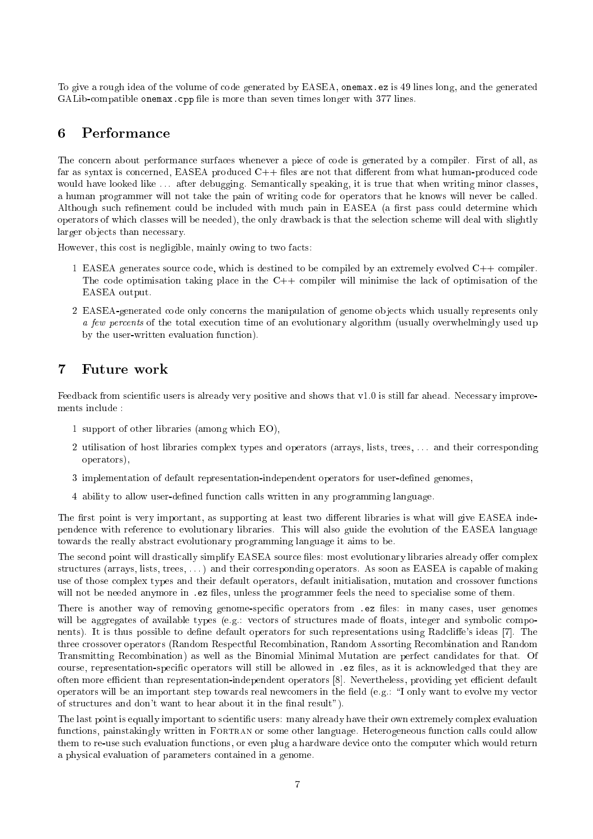To give a rough idea of the volume of code generated by EASEA, onemax.ez is 49 lines long, and the generated GALib-compatible onemax.cpp file is more than seven times longer with 377 lines.

## 6 Performance

The concern about performance surfaces whenever a piece of code is generated by a compiler. First of all, as far as syntax is concerned, EASEA produced  $C++$  files are not that different from what human-produced code would have looked like ... after debugging. Semantically speaking, it is true that when writing minor classes, a human programmer will not take the pain of writing code for operators that he knows will never be called. Although such refinement could be included with much pain in EASEA (a first pass could determine which operators of which classes will be needed), the only drawback is that the selection scheme will deal with slightly larger ob jects than necessary.

However, this cost is negligible, mainly owing to two facts:

- 1 EASEA generates source code, which is destined to be compiled by an extremely evolved C++ compiler. The code optimisation taking place in the  $C++$  compiler will minimise the lack of optimisation of the EASEA output.
- 2 EASEA-generated code only concerns the manipulation of genome objects which usually represents only a few percents of the total execution time of an evolutionary algorithm (usually overwhelmingly used up by the user-written evaluation function).

# 7 Future work

Feedback from scientific users is already very positive and shows that v1.0 is still far ahead. Necessary improvements include :

- 1 support of other libraries (among which EO),
- 2 utilisation of host libraries complex types and operators (arrays, lists, trees, . . . and their corresponding operators),
- 3 implementation of default representation-independent operators for user-dened genomes,
- 4 ability to allow user-dened function calls written in any programming language.

The first point is very important, as supporting at least two different libraries is what will give EASEA independence with reference to evolutionary libraries. This will also guide the evolution of the EASEA language towards the really abstract evolutionary programming language it aims to be.

The second point will drastically simplify EASEA source files: most evolutionary libraries already offer complex structures (arrays, lists, trees, . . . ) and their corresponding operators. As soon as EASEA is capable of making use of those complex types and their default operators, default initialisation, mutation and crossover functions will not be needed anymore in .ez files, unless the programmer feels the need to specialise some of them.

There is another way of removing genome-specific operators from .ez files: in many cases, user genomes will be aggregates of available types (e.g.: vectors of structures made of floats, integer and symbolic components). It is thus possible to define default operators for such representations using Radcliffe's ideas [7]. The three crossover operators (Random Respectful Recombination, Random Assorting Recombination and Random Transmitting Recombination) as well as the Binomial Minimal Mutation are perfect candidates for that. Of course, representation-specific operators will still be allowed in .ez files, as it is acknowledged that they are often more efficient than representation-independent operators [8]. Nevertheless, providing yet efficient default operators will be an important step towards real newcomers in the field  $(e.g.: \mathcal{I}$  only want to evolve my vector of structures and don't want to hear about it in the final result").

The last point is equally important to scientific users: many already have their own extremely complex evaluation functions, painstakingly written in FORTRAN or some other language. Heterogeneous function calls could allow them to re-use such evaluation functions, or even plug a hardware device onto the computer which would return a physical evaluation of parameters contained in a genome.